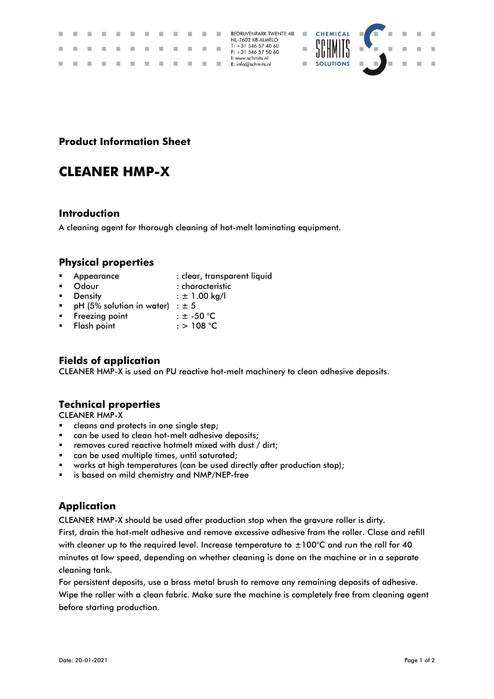|               |  | .<br>. |  |  |                                            |  | <b>BEDRIJVENPARK TWENTE 48</b><br>NL-7602 KB ALMELO<br>$T: +31546574060$<br>$F: +31 546 57 50 60$ |                  | CHEMICAL <b>T</b><br>$\mathbf{r}$ . The set of the set of $\mathbf{r}$ |   |  |
|---------------|--|--------|--|--|--------------------------------------------|--|---------------------------------------------------------------------------------------------------|------------------|------------------------------------------------------------------------|---|--|
| $\mathcal{L}$ |  | .      |  |  | <b>Contract Contract Contract Contract</b> |  | I: www.schmits.nl<br>E: info@schmits.nl                                                           | <b>SOLUTIONS</b> | ш                                                                      | . |  |

### **Product Information Sheet**

# **CLEANER HMP-X**

#### **Introduction**

A cleaning agent for thorough cleaning of hot-melt laminating equipment.

#### **Physical properties**

- Appearance : clear, transparent liquid
- Odour : characteristic
- **•** Density  $\qquad \qquad : \pm 1.00 \text{ kg/l}$
- pH (5% solution in water) :  $\pm$  5<br>Freezing point :  $\pm$  -50 °C
- Freezing point
- $F$ lash point  $\qquad \qquad :$  > 108 °C

### **Fields of application**

CLEANER HMP-X is used on PU reactive hot-melt machinery to clean adhesive deposits.

### **Technical properties**

CLEANER HMP-X

- cleans and protects in one single step;
- can be used to clean hot-melt adhesive deposits;
- **EXECT** removes cured reactive hotmelt mixed with dust / dirt;
- can be used multiple times, until saturated;
- works at high temperatures (can be used directly after production stop);
- is based on mild chemistry and NMP/NEP-free

### **Application**

CLEANER HMP-X should be used after production stop when the gravure roller is dirty.

First, drain the hot-melt adhesive and remove excessive adhesive from the roller. Close and refill with cleaner up to the required level. Increase temperature to  $\pm 100^{\circ}$ C and run the roll for 40 minutes at low speed, depending on whether cleaning is done on the machine or in a separate cleaning tank.

For persistent deposits, use a brass metal brush to remove any remaining deposits of adhesive. Wipe the roller with a clean fabric. Make sure the machine is completely free from cleaning agent before starting production.